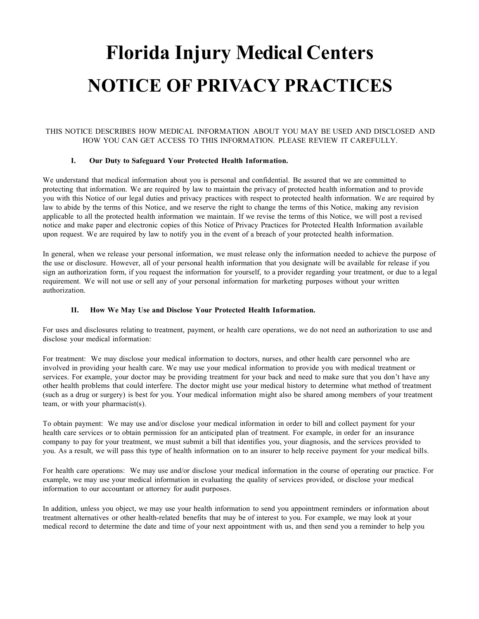# **Florida Injury Medical Centers NOTICE OF PRIVACY PRACTICES**

# THIS NOTICE DESCRIBES HOW MEDICAL INFORMATION ABOUT YOU MAY BE USED AND DISCLOSED AND HOW YOU CAN GET ACCESS TO THIS INFORMATION. PLEASE REVIEW IT CAREFULLY.

### **I. Our Duty to Safeguard Your Protected Health Information.**

We understand that medical information about you is personal and confidential. Be assured that we are committed to protecting that information. We are required by law to maintain the privacy of protected health information and to provide you with this Notice of our legal duties and privacy practices with respect to protected health information. We are required by law to abide by the terms of this Notice, and we reserve the right to change the terms of this Notice, making any revision applicable to all the protected health information we maintain. If we revise the terms of this Notice, we will post a revised notice and make paper and electronic copies of this Notice of Privacy Practices for Protected Health Information available upon request. We are required by law to notify you in the event of a breach of your protected health information.

In general, when we release your personal information, we must release only the information needed to achieve the purpose of the use or disclosure. However, all of your personal health information that you designate will be available for release if you sign an authorization form, if you request the information for yourself, to a provider regarding your treatment, or due to a legal requirement. We will not use or sell any of your personal information for marketing purposes without your written authorization.

## **II. How We May Use and Disclose Your Protected Health Information.**

For uses and disclosures relating to treatment, payment, or health care operations, we do not need an authorization to use and disclose your medical information:

For treatment: We may disclose your medical information to doctors, nurses, and other health care personnel who are involved in providing your health care. We may use your medical information to provide you with medical treatment or services. For example, your doctor may be providing treatment for your back and need to make sure that you don't have any other health problems that could interfere. The doctor might use your medical history to determine what method of treatment (such as a drug or surgery) is best for you. Your medical information might also be shared among members of your treatment team, or with your pharmacist(s).

To obtain payment: We may use and/or disclose your medical information in order to bill and collect payment for your health care services or to obtain permission for an anticipated plan of treatment. For example, in order for an insurance company to pay for your treatment, we must submit a bill that identifies you, your diagnosis, and the services provided to you. As a result, we will pass this type of health information on to an insurer to help receive payment for your medical bills.

For health care operations: We may use and/or disclose your medical information in the course of operating our practice. For example, we may use your medical information in evaluating the quality of services provided, or disclose your medical information to our accountant or attorney for audit purposes.

In addition, unless you object, we may use your health information to send you appointment reminders or information about treatment alternatives or other health-related benefits that may be of interest to you. For example, we may look at your medical record to determine the date and time of your next appointment with us, and then send you a reminder to help you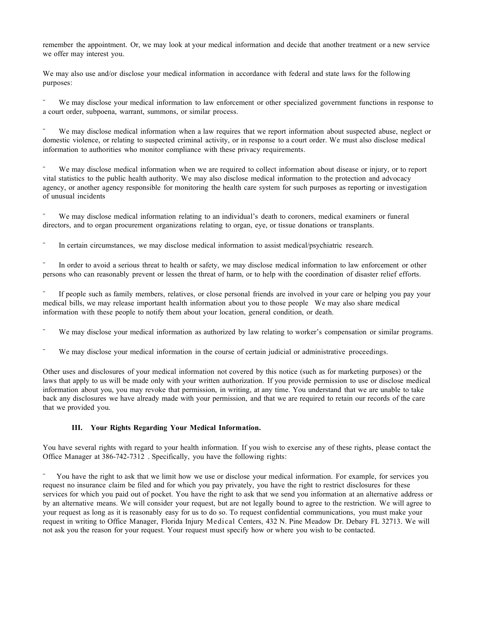remember the appointment. Or, we may look at your medical information and decide that another treatment or a new service we offer may interest you.

We may also use and/or disclose your medical information in accordance with federal and state laws for the following purposes:

We may disclose your medical information to law enforcement or other specialized government functions in response to a court order, subpoena, warrant, summons, or similar process.

We may disclose medical information when a law requires that we report information about suspected abuse, neglect or domestic violence, or relating to suspected criminal activity, or in response to a court order. We must also disclose medical information to authorities who monitor compliance with these privacy requirements.

We may disclose medical information when we are required to collect information about disease or injury, or to report vital statistics to the public health authority. We may also disclose medical information to the protection and advocacy agency, or another agency responsible for monitoring the health care system for such purposes as reporting or investigation of unusual incidents

We may disclose medical information relating to an individual's death to coroners, medical examiners or funeral directors, and to organ procurement organizations relating to organ, eye, or tissue donations or transplants.

In certain circumstances, we may disclose medical information to assist medical/psychiatric research.

In order to avoid a serious threat to health or safety, we may disclose medical information to law enforcement or other persons who can reasonably prevent or lessen the threat of harm, or to help with the coordination of disaster relief efforts.

If people such as family members, relatives, or close personal friends are involved in your care or helping you pay your medical bills, we may release important health information about you to those people We may also share medical information with these people to notify them about your location, general condition, or death.

We may disclose your medical information as authorized by law relating to worker's compensation or similar programs.

We may disclose your medical information in the course of certain judicial or administrative proceedings.

Other uses and disclosures of your medical information not covered by this notice (such as for marketing purposes) or the laws that apply to us will be made only with your written authorization. If you provide permission to use or disclose medical information about you, you may revoke that permission, in writing, at any time. You understand that we are unable to take back any disclosures we have already made with your permission, and that we are required to retain our records of the care that we provided you.

# **III. Your Rights Regarding Your Medical Information.**

You have several rights with regard to your health information. If you wish to exercise any of these rights, please contact the Office Manager at 386-742-7312 . Specifically, you have the following rights:

You have the right to ask that we limit how we use or disclose your medical information. For example, for services you request no insurance claim be filed and for which you pay privately, you have the right to restrict disclosures for these services for which you paid out of pocket. You have the right to ask that we send you information at an alternative address or by an alternative means. We will consider your request, but are not legally bound to agree to the restriction. We will agree to your request as long as it is reasonably easy for us to do so. To request confidential communications, you must make your request in writing to Office Manager, Florida Injury Medical Centers, 432 N. Pine Meadow Dr. Debary FL 32713. We will not ask you the reason for your request. Your request must specify how or where you wish to be contacted.